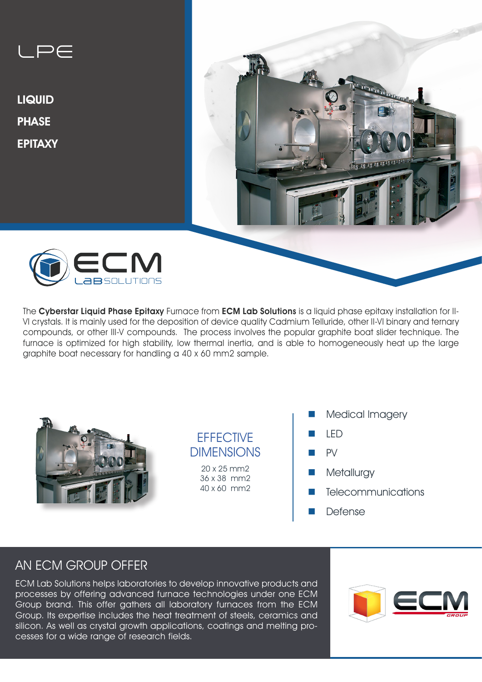

The Cyberstar Liquid Phase Epitaxy Furnace from ECM Lab Solutions is a liquid phase epitaxy installation for II-VI crystals. It is mainly used for the deposition of device quality Cadmium Telluride, other II-VI binary and ternary compounds, or other III-V compounds. The process involves the popular graphite boat slider technique. The furnace is optimized for high stability, low thermal inertia, and is able to homogeneously heat up the large graphite boat necessary for handling a 40 x 60 mm2 sample.



## **FFFFCTIVE** DIMENSIONS

20 x 25 mm2 36 x 38 mm2 40 x 60 mm2

- Medical Imagery
- n LED
- $PV$
- **n** Metallurgy
- Telecommunications
- **Defense**

# AN ECM GROUP OFFER

ECM Lab Solutions helps laboratories to develop innovative products and processes by offering advanced furnace technologies under one ECM Group brand. This offer gathers all laboratory furnaces from the ECM Group. Its expertise includes the heat treatment of steels, ceramics and silicon. As well as crystal growth applications, coatings and melting processes for a wide range of research fields.